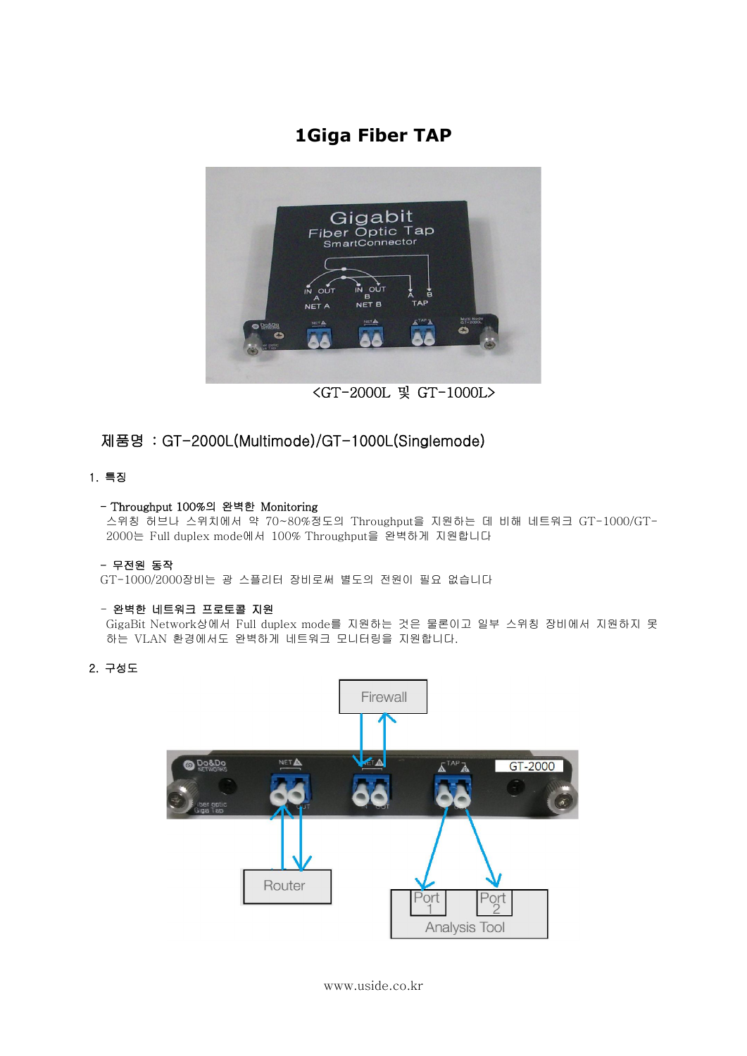# **1Giga Fiber TAP**



<GT-2000L 및 GT-1000L>

# 제품명 : GT-2000L(Multimode)/GT-1000L(Singlemode)

## 1. 특징

#### - Throughput 100%의 완벽한 Monitoring

스위칭 허브나 스위치에서 약 70~80%정도의 Throughput을 지원하는 데 비해 네트워크 GT-1000/GT-2000는 Full duplex mode에서 100% Throughput을 완벽하게 지원합니다

#### - 무전원 동작

GT-1000/2000장비는 광 스플리터 장비로써 별도의 전원이 필요 없습니다

#### - 완벽한 네트워크 프로토콜 지원

GigaBit Network상에서 Full duplex mode를 지원하는 것은 물론이고 일부 스위칭 장비에서 지원하지 못 하는 VLAN 환경에서도 완벽하게 네트워크 모니터링을 지원합니다.

## 2. 구성도



www.uside.co.kr